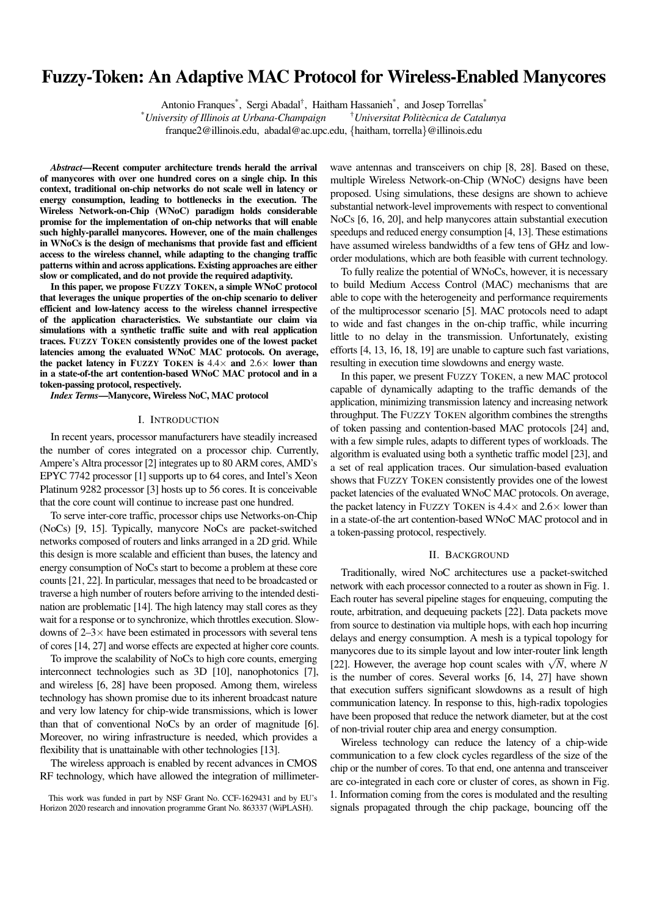# Fuzzy-Token: An Adaptive MAC Protocol for Wireless-Enabled Manycores

Antonio Franques<sup>\*</sup>, Sergi Abadal<sup>†</sup>, Haitham Hassanieh<sup>\*</sup>, and Josep Torrellas<sup>\*</sup>

\**University of Illinois at Urbana-Champaign* †*Universitat Politecnica de Catalunya `*

franque2@illinois.edu, abadal@ac.upc.edu, {haitham, torrella}@illinois.edu

*Abstract*—Recent computer architecture trends herald the arrival of manycores with over one hundred cores on a single chip. In this context, traditional on-chip networks do not scale well in latency or energy consumption, leading to bottlenecks in the execution. The Wireless Network-on-Chip (WNoC) paradigm holds considerable promise for the implementation of on-chip networks that will enable such highly-parallel manycores. However, one of the main challenges in WNoCs is the design of mechanisms that provide fast and efficient access to the wireless channel, while adapting to the changing traffic patterns within and across applications. Existing approaches are either slow or complicated, and do not provide the required adaptivity.

In this paper, we propose FUZZY TOKEN, a simple WNoC protocol that leverages the unique properties of the on-chip scenario to deliver efficient and low-latency access to the wireless channel irrespective of the application characteristics. We substantiate our claim via simulations with a synthetic traffic suite and with real application traces. FUZZY TOKEN consistently provides one of the lowest packet latencies among the evaluated WNoC MAC protocols. On average, the packet latency in FUZZY TOKEN is  $4.4\times$  and  $2.6\times$  lower than in a state-of-the art contention-based WNoC MAC protocol and in a token-passing protocol, respectively.

*Index Terms*—Manycore, Wireless NoC, MAC protocol

#### I. INTRODUCTION

In recent years, processor manufacturers have steadily increased the number of cores integrated on a processor chip. Currently, Ampere's Altra processor [2] integrates up to 80 ARM cores, AMD's EPYC 7742 processor [1] supports up to 64 cores, and Intel's Xeon Platinum 9282 processor [3] hosts up to 56 cores. It is conceivable that the core count will continue to increase past one hundred.

To serve inter-core traffic, processor chips use Networks-on-Chip (NoCs) [9, 15]. Typically, manycore NoCs are packet-switched networks composed of routers and links arranged in a 2D grid. While this design is more scalable and efficient than buses, the latency and energy consumption of NoCs start to become a problem at these core counts [21, 22]. In particular, messages that need to be broadcasted or traverse a high number of routers before arriving to the intended destination are problematic [14]. The high latency may stall cores as they wait for a response or to synchronize, which throttles execution. Slowdowns of  $2-3\times$  have been estimated in processors with several tens of cores [14, 27] and worse effects are expected at higher core counts.

To improve the scalability of NoCs to high core counts, emerging interconnect technologies such as 3D [10], nanophotonics [7], and wireless [6, 28] have been proposed. Among them, wireless technology has shown promise due to its inherent broadcast nature and very low latency for chip-wide transmissions, which is lower than that of conventional NoCs by an order of magnitude [6]. Moreover, no wiring infrastructure is needed, which provides a flexibility that is unattainable with other technologies [13].

The wireless approach is enabled by recent advances in CMOS RF technology, which have allowed the integration of millimeterwave antennas and transceivers on chip [8, 28]. Based on these, multiple Wireless Network-on-Chip (WNoC) designs have been proposed. Using simulations, these designs are shown to achieve substantial network-level improvements with respect to conventional NoCs [6, 16, 20], and help manycores attain substantial execution speedups and reduced energy consumption [4, 13]. These estimations have assumed wireless bandwidths of a few tens of GHz and loworder modulations, which are both feasible with current technology.

To fully realize the potential of WNoCs, however, it is necessary to build Medium Access Control (MAC) mechanisms that are able to cope with the heterogeneity and performance requirements of the multiprocessor scenario [5]. MAC protocols need to adapt to wide and fast changes in the on-chip traffic, while incurring little to no delay in the transmission. Unfortunately, existing efforts [4, 13, 16, 18, 19] are unable to capture such fast variations, resulting in execution time slowdowns and energy waste.

In this paper, we present FUZZY TOKEN, a new MAC protocol capable of dynamically adapting to the traffic demands of the application, minimizing transmission latency and increasing network throughput. The FUZZY TOKEN algorithm combines the strengths of token passing and contention-based MAC protocols [24] and, with a few simple rules, adapts to different types of workloads. The algorithm is evaluated using both a synthetic traffic model [23], and a set of real application traces. Our simulation-based evaluation shows that FUZZY TOKEN consistently provides one of the lowest packet latencies of the evaluated WNoC MAC protocols. On average, the packet latency in FUZZY TOKEN is  $4.4 \times$  and  $2.6 \times$  lower than in a state-of-the art contention-based WNoC MAC protocol and in a token-passing protocol, respectively.

### II. BACKGROUND

Traditionally, wired NoC architectures use a packet-switched network with each processor connected to a router as shown in Fig. 1. Each router has several pipeline stages for enqueuing, computing the route, arbitration, and dequeuing packets [22]. Data packets move from source to destination via multiple hops, with each hop incurring delays and energy consumption. A mesh is a typical topology for manycores due to its simple layout and low inter-router link length manycores que to its simple layout and low inter-router link length [22]. However, the average hop count scales with  $\sqrt{N}$ , where *N* is the number of cores. Several works [6, 14, 27] have shown that execution suffers significant slowdowns as a result of high communication latency. In response to this, high-radix topologies have been proposed that reduce the network diameter, but at the cost of non-trivial router chip area and energy consumption.

Wireless technology can reduce the latency of a chip-wide communication to a few clock cycles regardless of the size of the chip or the number of cores. To that end, one antenna and transceiver are co-integrated in each core or cluster of cores, as shown in Fig. 1. Information coming from the cores is modulated and the resulting signals propagated through the chip package, bouncing off the

This work was funded in part by NSF Grant No. CCF-1629431 and by EU's Horizon 2020 research and innovation programme Grant No. 863337 (WiPLASH).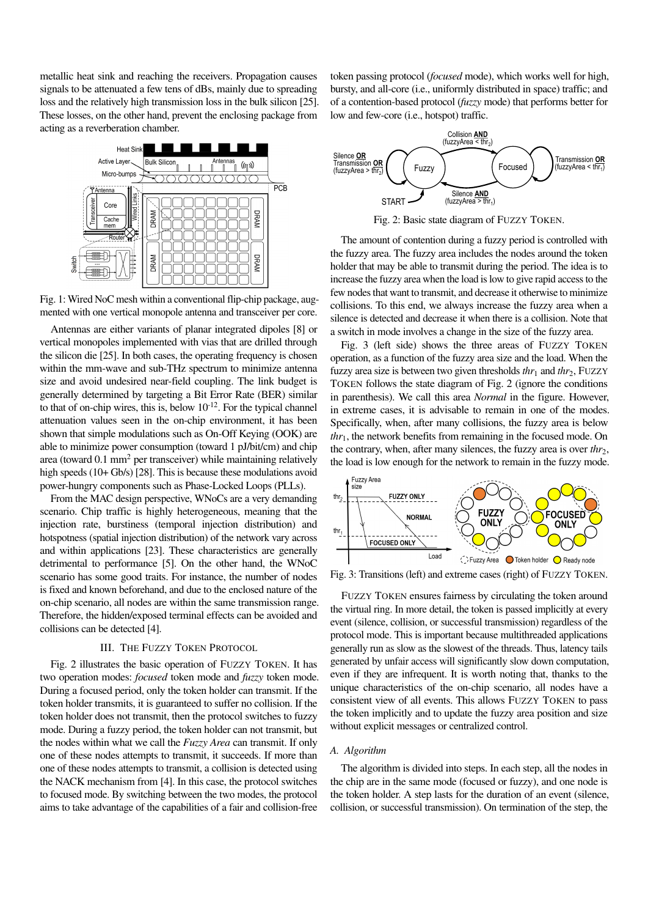metallic heat sink and reaching the receivers. Propagation causes signals to be attenuated a few tens of dBs, mainly due to spreading loss and the relatively high transmission loss in the bulk silicon [25]. These losses, on the other hand, prevent the enclosing package from acting as a reverberation chamber.



Fig. 1: Wired NoC mesh within a conventional flip-chip package, augmented with one vertical monopole antenna and transceiver per core.

Antennas are either variants of planar integrated dipoles [8] or vertical monopoles implemented with vias that are drilled through the silicon die [25]. In both cases, the operating frequency is chosen within the mm-wave and sub-THz spectrum to minimize antenna size and avoid undesired near-field coupling. The link budget is generally determined by targeting a Bit Error Rate (BER) similar to that of on-chip wires, this is, below  $10^{-12}$ . For the typical channel attenuation values seen in the on-chip environment, it has been shown that simple modulations such as On-Off Keying (OOK) are able to minimize power consumption (toward 1 pJ/bit/cm) and chip area (toward 0.1 mm<sup>2</sup> per transceiver) while maintaining relatively high speeds (10+ Gb/s) [28]. This is because these modulations avoid power-hungry components such as Phase-Locked Loops (PLLs).

From the MAC design perspective, WNoCs are a very demanding scenario. Chip traffic is highly heterogeneous, meaning that the injection rate, burstiness (temporal injection distribution) and hotspotness (spatial injection distribution) of the network vary across and within applications [23]. These characteristics are generally detrimental to performance [5]. On the other hand, the WNoC scenario has some good traits. For instance, the number of nodes is fixed and known beforehand, and due to the enclosed nature of the on-chip scenario, all nodes are within the same transmission range. Therefore, the hidden/exposed terminal effects can be avoided and collisions can be detected [4].

## III. THE FUZZY TOKEN PROTOCOL

Fig. 2 illustrates the basic operation of FUZZY TOKEN. It has two operation modes: *focused* token mode and *fuzzy* token mode. During a focused period, only the token holder can transmit. If the token holder transmits, it is guaranteed to suffer no collision. If the token holder does not transmit, then the protocol switches to fuzzy mode. During a fuzzy period, the token holder can not transmit, but the nodes within what we call the *Fuzzy Area* can transmit. If only one of these nodes attempts to transmit, it succeeds. If more than one of these nodes attempts to transmit, a collision is detected using the NACK mechanism from [4]. In this case, the protocol switches to focused mode. By switching between the two modes, the protocol aims to take advantage of the capabilities of a fair and collision-free

token passing protocol (*focused* mode), which works well for high, bursty, and all-core (i.e., uniformly distributed in space) traffic; and of a contention-based protocol (*fuzzy* mode) that performs better for low and few-core (i.e., hotspot) traffic.



Fig. 2: Basic state diagram of FUZZY TOKEN.

The amount of contention during a fuzzy period is controlled with the fuzzy area. The fuzzy area includes the nodes around the token holder that may be able to transmit during the period. The idea is to increase the fuzzy area when the load is low to give rapid access to the few nodes that want to transmit, and decrease it otherwise to minimize collisions. To this end, we always increase the fuzzy area when a silence is detected and decrease it when there is a collision. Note that a switch in mode involves a change in the size of the fuzzy area.

Fig. 3 (left side) shows the three areas of FUZZY TOKEN operation, as a function of the fuzzy area size and the load. When the fuzzy area size is between two given thresholds  $thr_1$  and  $thr_2$ , FUZZY TOKEN follows the state diagram of Fig. 2 (ignore the conditions in parenthesis). We call this area *Normal* in the figure. However, in extreme cases, it is advisable to remain in one of the modes. Specifically, when, after many collisions, the fuzzy area is below *thr*1, the network benefits from remaining in the focused mode. On the contrary, when, after many silences, the fuzzy area is over *thr*<sub>2</sub>, the load is low enough for the network to remain in the fuzzy mode.



Fig. 3: Transitions (left) and extreme cases (right) of FUZZY TOKEN.

FUZZY TOKEN ensures fairness by circulating the token around the virtual ring. In more detail, the token is passed implicitly at every event (silence, collision, or successful transmission) regardless of the protocol mode. This is important because multithreaded applications generally run as slow as the slowest of the threads. Thus, latency tails generated by unfair access will significantly slow down computation, even if they are infrequent. It is worth noting that, thanks to the unique characteristics of the on-chip scenario, all nodes have a consistent view of all events. This allows FUZZY TOKEN to pass the token implicitly and to update the fuzzy area position and size without explicit messages or centralized control.

### *A. Algorithm*

The algorithm is divided into steps. In each step, all the nodes in the chip are in the same mode (focused or fuzzy), and one node is the token holder. A step lasts for the duration of an event (silence, collision, or successful transmission). On termination of the step, the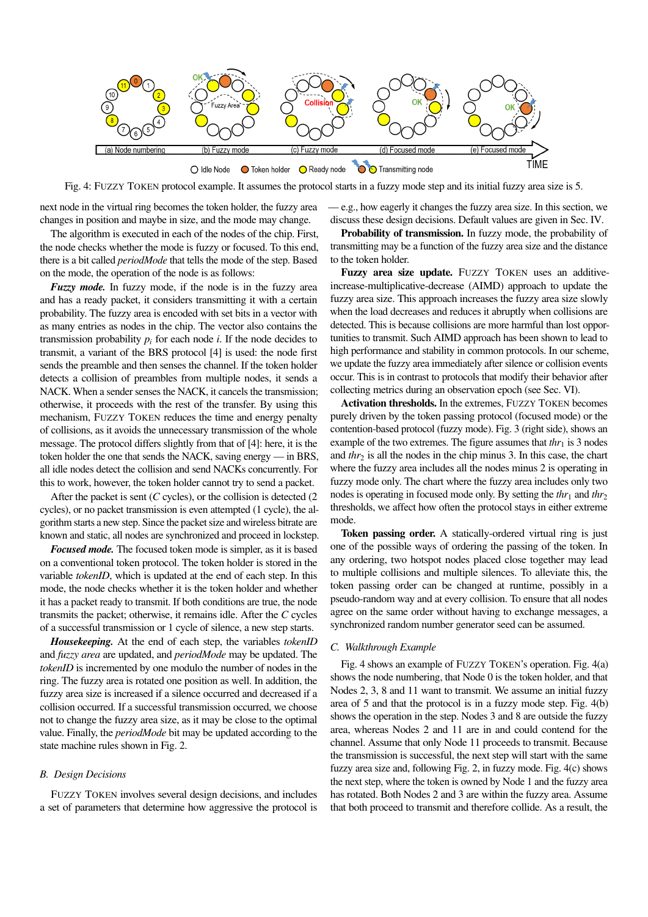

Fig. 4: FUZZY TOKEN protocol example. It assumes the protocol starts in a fuzzy mode step and its initial fuzzy area size is 5.

next node in the virtual ring becomes the token holder, the fuzzy area changes in position and maybe in size, and the mode may change.

The algorithm is executed in each of the nodes of the chip. First, the node checks whether the mode is fuzzy or focused. To this end, there is a bit called *periodMode* that tells the mode of the step. Based on the mode, the operation of the node is as follows:

*Fuzzy mode.* In fuzzy mode, if the node is in the fuzzy area and has a ready packet, it considers transmitting it with a certain probability. The fuzzy area is encoded with set bits in a vector with as many entries as nodes in the chip. The vector also contains the transmission probability  $p_i$  for each node *i*. If the node decides to transmit, a variant of the BRS protocol [4] is used: the node first sends the preamble and then senses the channel. If the token holder detects a collision of preambles from multiple nodes, it sends a NACK. When a sender senses the NACK, it cancels the transmission; otherwise, it proceeds with the rest of the transfer. By using this mechanism, FUZZY TOKEN reduces the time and energy penalty of collisions, as it avoids the unnecessary transmission of the whole message. The protocol differs slightly from that of [4]: here, it is the token holder the one that sends the NACK, saving energy — in BRS, all idle nodes detect the collision and send NACKs concurrently. For this to work, however, the token holder cannot try to send a packet.

After the packet is sent (*C* cycles), or the collision is detected (2) cycles), or no packet transmission is even attempted (1 cycle), the algorithm starts a new step. Since the packet size and wireless bitrate are known and static, all nodes are synchronized and proceed in lockstep.

*Focused mode.* The focused token mode is simpler, as it is based on a conventional token protocol. The token holder is stored in the variable *tokenID*, which is updated at the end of each step. In this mode, the node checks whether it is the token holder and whether it has a packet ready to transmit. If both conditions are true, the node transmits the packet; otherwise, it remains idle. After the *C* cycles of a successful transmission or 1 cycle of silence, a new step starts.

*Housekeeping.* At the end of each step, the variables *tokenID* and *fuzzy area* are updated, and *periodMode* may be updated. The *tokenID* is incremented by one modulo the number of nodes in the ring. The fuzzy area is rotated one position as well. In addition, the fuzzy area size is increased if a silence occurred and decreased if a collision occurred. If a successful transmission occurred, we choose not to change the fuzzy area size, as it may be close to the optimal value. Finally, the *periodMode* bit may be updated according to the state machine rules shown in Fig. 2.

#### *B. Design Decisions*

FUZZY TOKEN involves several design decisions, and includes a set of parameters that determine how aggressive the protocol is — e.g., how eagerly it changes the fuzzy area size. In this section, we discuss these design decisions. Default values are given in Sec. IV.

Probability of transmission. In fuzzy mode, the probability of transmitting may be a function of the fuzzy area size and the distance to the token holder.

Fuzzy area size update. FUZZY TOKEN uses an additiveincrease-multiplicative-decrease (AIMD) approach to update the fuzzy area size. This approach increases the fuzzy area size slowly when the load decreases and reduces it abruptly when collisions are detected. This is because collisions are more harmful than lost opportunities to transmit. Such AIMD approach has been shown to lead to high performance and stability in common protocols. In our scheme, we update the fuzzy area immediately after silence or collision events occur. This is in contrast to protocols that modify their behavior after collecting metrics during an observation epoch (see Sec. VI).

Activation thresholds. In the extremes, FUZZY TOKEN becomes purely driven by the token passing protocol (focused mode) or the contention-based protocol (fuzzy mode). Fig. 3 (right side), shows an example of the two extremes. The figure assumes that  $thr_1$  is 3 nodes and  $thr<sub>2</sub>$  is all the nodes in the chip minus 3. In this case, the chart where the fuzzy area includes all the nodes minus 2 is operating in fuzzy mode only. The chart where the fuzzy area includes only two nodes is operating in focused mode only. By setting the  $thr_1$  and  $thr_2$ thresholds, we affect how often the protocol stays in either extreme mode.

Token passing order. A statically-ordered virtual ring is just one of the possible ways of ordering the passing of the token. In any ordering, two hotspot nodes placed close together may lead to multiple collisions and multiple silences. To alleviate this, the token passing order can be changed at runtime, possibly in a pseudo-random way and at every collision. To ensure that all nodes agree on the same order without having to exchange messages, a synchronized random number generator seed can be assumed.

### *C. Walkthrough Example*

Fig. 4 shows an example of FUZZY TOKEN's operation. Fig. 4(a) shows the node numbering, that Node 0 is the token holder, and that Nodes 2, 3, 8 and 11 want to transmit. We assume an initial fuzzy area of 5 and that the protocol is in a fuzzy mode step. Fig. 4(b) shows the operation in the step. Nodes 3 and 8 are outside the fuzzy area, whereas Nodes 2 and 11 are in and could contend for the channel. Assume that only Node 11 proceeds to transmit. Because the transmission is successful, the next step will start with the same fuzzy area size and, following Fig. 2, in fuzzy mode. Fig. 4(c) shows the next step, where the token is owned by Node 1 and the fuzzy area has rotated. Both Nodes 2 and 3 are within the fuzzy area. Assume that both proceed to transmit and therefore collide. As a result, the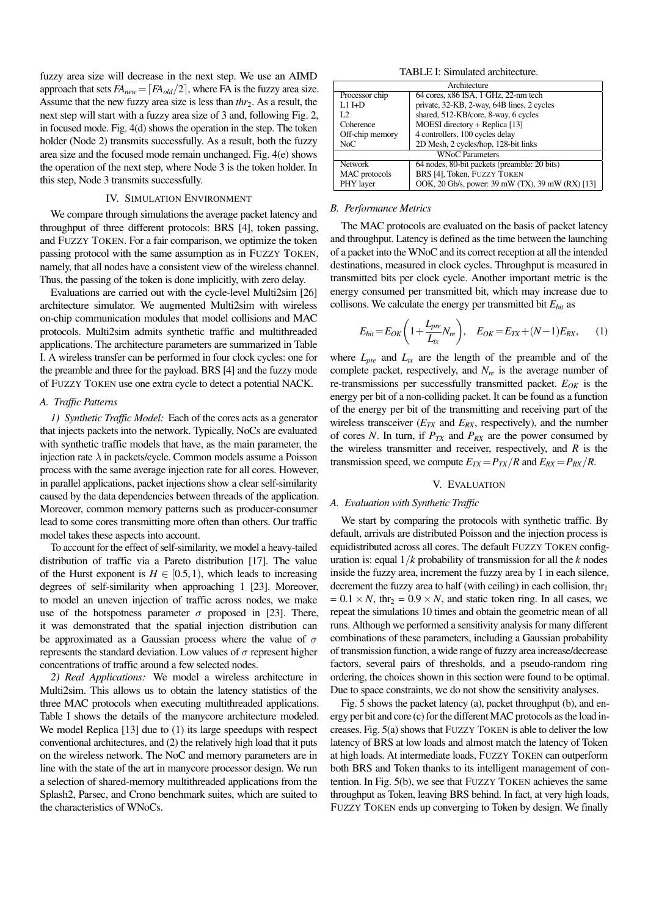fuzzy area size will decrease in the next step. We use an AIMD approach that sets  $FA_{new} = \lfloor FA_{old}/2 \rfloor$ , where FA is the fuzzy area size. Assume that the new fuzzy area size is less than *thr*<sub>2</sub>. As a result, the next step will start with a fuzzy area size of 3 and, following Fig. 2, in focused mode. Fig. 4(d) shows the operation in the step. The token holder (Node 2) transmits successfully. As a result, both the fuzzy area size and the focused mode remain unchanged. Fig. 4(e) shows the operation of the next step, where Node 3 is the token holder. In this step, Node 3 transmits successfully.

### IV. SIMULATION ENVIRONMENT

We compare through simulations the average packet latency and throughput of three different protocols: BRS [4], token passing, and FUZZY TOKEN. For a fair comparison, we optimize the token passing protocol with the same assumption as in FUZZY TOKEN, namely, that all nodes have a consistent view of the wireless channel. Thus, the passing of the token is done implicitly, with zero delay.

Evaluations are carried out with the cycle-level Multi2sim [26] architecture simulator. We augmented Multi2sim with wireless on-chip communication modules that model collisions and MAC protocols. Multi2sim admits synthetic traffic and multithreaded applications. The architecture parameters are summarized in Table I. A wireless transfer can be performed in four clock cycles: one for the preamble and three for the payload. BRS [4] and the fuzzy mode of FUZZY TOKEN use one extra cycle to detect a potential NACK.

### *A. Traffic Patterns*

*1) Synthetic Traffic Model:* Each of the cores acts as a generator that injects packets into the network. Typically, NoCs are evaluated with synthetic traffic models that have, as the main parameter, the injection rate  $\lambda$  in packets/cycle. Common models assume a Poisson process with the same average injection rate for all cores. However, in parallel applications, packet injections show a clear self-similarity caused by the data dependencies between threads of the application. Moreover, common memory patterns such as producer-consumer lead to some cores transmitting more often than others. Our traffic model takes these aspects into account.

To account for the effect of self-similarity, we model a heavy-tailed distribution of traffic via a Pareto distribution [17]. The value of the Hurst exponent is  $H \in [0.5, 1)$ , which leads to increasing degrees of self-similarity when approaching 1 [23]. Moreover, to model an uneven injection of traffic across nodes, we make use of the hotspotness parameter  $\sigma$  proposed in [23]. There, it was demonstrated that the spatial injection distribution can be approximated as a Gaussian process where the value of  $\sigma$ represents the standard deviation. Low values of  $\sigma$  represent higher concentrations of traffic around a few selected nodes.

*2) Real Applications:* We model a wireless architecture in Multi2sim. This allows us to obtain the latency statistics of the three MAC protocols when executing multithreaded applications. Table I shows the details of the manycore architecture modeled. We model Replica [13] due to (1) its large speedups with respect conventional architectures, and (2) the relatively high load that it puts on the wireless network. The NoC and memory parameters are in line with the state of the art in manycore processor design. We run a selection of shared-memory multithreaded applications from the Splash2, Parsec, and Crono benchmark suites, which are suited to the characteristics of WNoCs.

TABLE I: Simulated architecture.

| Architecture           |                                                  |
|------------------------|--------------------------------------------------|
| Processor chip         | 64 cores, x86 ISA, 1 GHz, 22-nm tech             |
| $L1$ I+D               | private, 32-KB, 2-way, 64B lines, 2 cycles       |
| L <sub>2</sub>         | shared, 512-KB/core, 8-way, 6 cycles             |
| Coherence              | MOESI directory + Replica [13]                   |
| Off-chip memory        | 4 controllers, 100 cycles delay                  |
| NoC                    | 2D Mesh, 2 cycles/hop, 128-bit links             |
| <b>WNoC Parameters</b> |                                                  |
| <b>Network</b>         | 64 nodes, 80-bit packets (preamble: 20 bits)     |
| MAC protocols          | BRS [4], Token, FUZZY TOKEN                      |
| PHY layer              | OOK, 20 Gb/s, power: 39 mW (TX), 39 mW (RX) [13] |

### *B. Performance Metrics*

The MAC protocols are evaluated on the basis of packet latency and throughput. Latency is defined as the time between the launching of a packet into the WNoC and its correct reception at all the intended destinations, measured in clock cycles. Throughput is measured in transmitted bits per clock cycle. Another important metric is the energy consumed per transmitted bit, which may increase due to collisons. We calculate the energy per transmitted bit *Ebit* as

$$
E_{bit} = E_{OK} \left( 1 + \frac{L_{pre}}{L_{tx}} N_{re} \right), \quad E_{OK} = E_{TX} + (N - 1) E_{RX}, \tag{1}
$$

where  $L_{pre}$  and  $L_{tx}$  are the length of the preamble and of the complete packet, respectively, and *Nre* is the average number of re-transmissions per successfully transmitted packet. *EOK* is the energy per bit of a non-colliding packet. It can be found as a function of the energy per bit of the transmitting and receiving part of the wireless transceiver (*ETX* and *ERX*, respectively), and the number of cores *N*. In turn, if  $P_{TX}$  and  $P_{RX}$  are the power consumed by the wireless transmitter and receiver, respectively, and *R* is the transmission speed, we compute  $E_{TX} = P_{TX}/R$  and  $E_{RX} = P_{RX}/R$ .

### V. EVALUATION

#### *A. Evaluation with Synthetic Traffic*

We start by comparing the protocols with synthetic traffic. By default, arrivals are distributed Poisson and the injection process is equidistributed across all cores. The default FUZZY TOKEN configuration is: equal 1/*k* probability of transmission for all the *k* nodes inside the fuzzy area, increment the fuzzy area by 1 in each silence, decrement the fuzzy area to half (with ceiling) in each collision, thr<sub>1</sub>  $= 0.1 \times N$ , thr<sub>2</sub> = 0.9 × *N*, and static token ring. In all cases, we repeat the simulations 10 times and obtain the geometric mean of all runs. Although we performed a sensitivity analysis for many different combinations of these parameters, including a Gaussian probability of transmission function, a wide range of fuzzy area increase/decrease factors, several pairs of thresholds, and a pseudo-random ring ordering, the choices shown in this section were found to be optimal. Due to space constraints, we do not show the sensitivity analyses.

Fig. 5 shows the packet latency (a), packet throughput (b), and energy per bit and core (c) for the different MAC protocols as the load increases. Fig. 5(a) shows that FUZZY TOKEN is able to deliver the low latency of BRS at low loads and almost match the latency of Token at high loads. At intermediate loads, FUZZY TOKEN can outperform both BRS and Token thanks to its intelligent management of contention. In Fig. 5(b), we see that FUZZY TOKEN achieves the same throughput as Token, leaving BRS behind. In fact, at very high loads, FUZZY TOKEN ends up converging to Token by design. We finally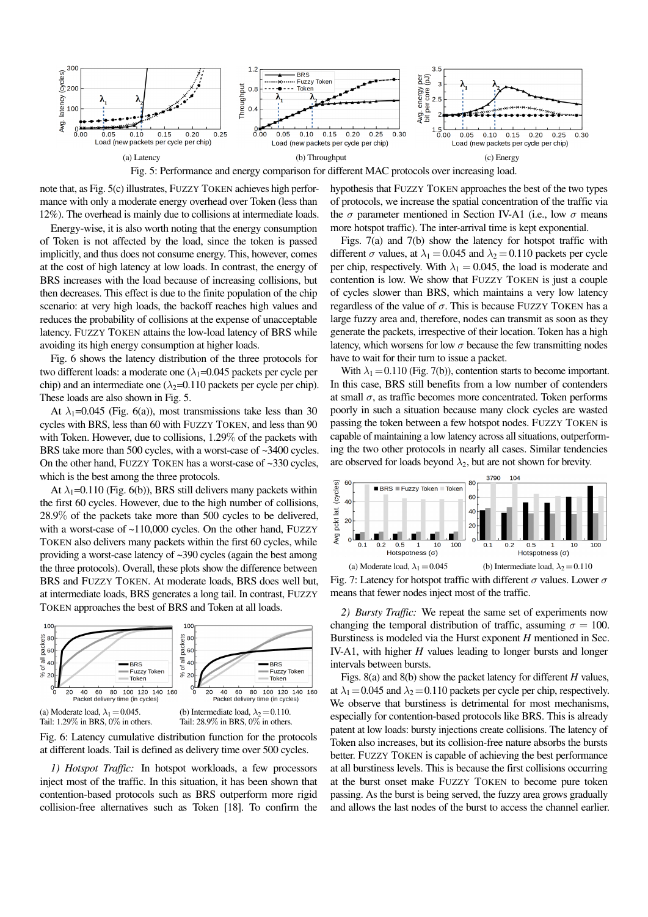

Fig. 5: Performance and energy comparison for different MAC protocols over increasing load.

note that, as Fig. 5(c) illustrates, FUZZY TOKEN achieves high performance with only a moderate energy overhead over Token (less than 12%). The overhead is mainly due to collisions at intermediate loads.

Energy-wise, it is also worth noting that the energy consumption of Token is not affected by the load, since the token is passed implicitly, and thus does not consume energy. This, however, comes at the cost of high latency at low loads. In contrast, the energy of BRS increases with the load because of increasing collisions, but then decreases. This effect is due to the finite population of the chip scenario: at very high loads, the backoff reaches high values and reduces the probability of collisions at the expense of unacceptable latency. FUZZY TOKEN attains the low-load latency of BRS while avoiding its high energy consumption at higher loads.

Fig. 6 shows the latency distribution of the three protocols for two different loads: a moderate one  $(\lambda_1=0.045$  packets per cycle per chip) and an intermediate one ( $\lambda_2$ =0.110 packets per cycle per chip). These loads are also shown in Fig. 5.

At  $\lambda_1$ =0.045 (Fig. 6(a)), most transmissions take less than 30 cycles with BRS, less than 60 with FUZZY TOKEN, and less than 90 with Token. However, due to collisions, 1.29% of the packets with BRS take more than 500 cycles, with a worst-case of ~3400 cycles. On the other hand, FUZZY TOKEN has a worst-case of ~330 cycles, which is the best among the three protocols.

At  $\lambda_1$ =0.110 (Fig. 6(b)), BRS still delivers many packets within the first 60 cycles. However, due to the high number of collisions, 28.9% of the packets take more than 500 cycles to be delivered, with a worst-case of ~110,000 cycles. On the other hand, FUZZY TOKEN also delivers many packets within the first 60 cycles, while providing a worst-case latency of ~390 cycles (again the best among the three protocols). Overall, these plots show the difference between BRS and FUZZY TOKEN. At moderate loads, BRS does well but, at intermediate loads, BRS generates a long tail. In contrast, FUZZY TOKEN approaches the best of BRS and Token at all loads.



Fig. 6: Latency cumulative distribution function for the protocols at different loads. Tail is defined as delivery time over 500 cycles.

*1) Hotspot Traffic:* In hotspot workloads, a few processors inject most of the traffic. In this situation, it has been shown that contention-based protocols such as BRS outperform more rigid collision-free alternatives such as Token [18]. To confirm the hypothesis that FUZZY TOKEN approaches the best of the two types of protocols, we increase the spatial concentration of the traffic via the  $\sigma$  parameter mentioned in Section IV-A1 (i.e., low  $\sigma$  means more hotspot traffic). The inter-arrival time is kept exponential.

Figs. 7(a) and 7(b) show the latency for hotspot traffic with different  $\sigma$  values, at  $\lambda_1 = 0.045$  and  $\lambda_2 = 0.110$  packets per cycle per chip, respectively. With  $\lambda_1 = 0.045$ , the load is moderate and contention is low. We show that FUZZY TOKEN is just a couple of cycles slower than BRS, which maintains a very low latency regardless of the value of  $\sigma$ . This is because FUZZY TOKEN has a large fuzzy area and, therefore, nodes can transmit as soon as they generate the packets, irrespective of their location. Token has a high latency, which worsens for low  $\sigma$  because the few transmitting nodes have to wait for their turn to issue a packet.

With  $\lambda_1$  = 0.110 (Fig. 7(b)), contention starts to become important. In this case, BRS still benefits from a low number of contenders at small  $\sigma$ , as traffic becomes more concentrated. Token performs poorly in such a situation because many clock cycles are wasted passing the token between a few hotspot nodes. FUZZY TOKEN is capable of maintaining a low latency across all situations, outperforming the two other protocols in nearly all cases. Similar tendencies are observed for loads beyond  $\lambda_2$ , but are not shown for brevity.



Fig. 7: Latency for hotspot traffic with different  $\sigma$  values. Lower  $\sigma$ means that fewer nodes inject most of the traffic.

*2) Bursty Traffic:* We repeat the same set of experiments now changing the temporal distribution of traffic, assuming  $\sigma = 100$ . Burstiness is modeled via the Hurst exponent *H* mentioned in Sec. IV-A1, with higher *H* values leading to longer bursts and longer intervals between bursts.

Figs. 8(a) and 8(b) show the packet latency for different *H* values, at  $\lambda_1$  = 0.045 and  $\lambda_2$  = 0.110 packets per cycle per chip, respectively. We observe that burstiness is detrimental for most mechanisms, especially for contention-based protocols like BRS. This is already patent at low loads: bursty injections create collisions. The latency of Token also increases, but its collision-free nature absorbs the bursts better. FUZZY TOKEN is capable of achieving the best performance at all burstiness levels. This is because the first collisions occurring at the burst onset make FUZZY TOKEN to become pure token passing. As the burst is being served, the fuzzy area grows gradually and allows the last nodes of the burst to access the channel earlier.